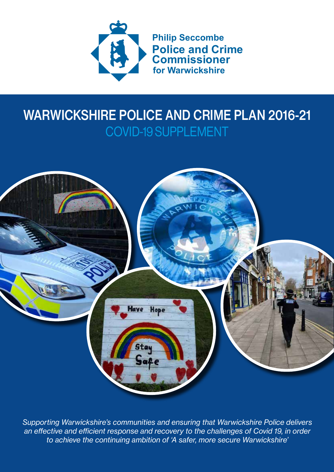

### WARWICKSHIRE POLICE AND CRIME PLAN 2016-21 COVID-19 SUPPLEMENT



*Supporting Warwickshire's communities and ensuring that Warwickshire Police delivers an effective and efficient response and recovery to the challenges of Covid 19, in order to achieve the continuing ambition of 'A safer, more secure Warwickshire'*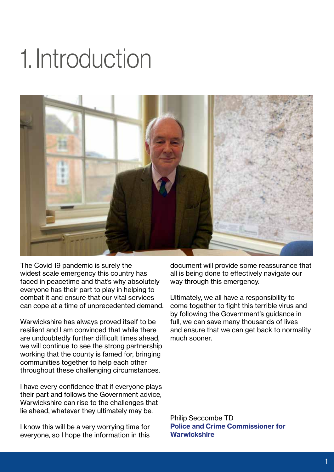### 1. Introduction



The Covid 19 pandemic is surely the widest scale emergency this country has faced in peacetime and that's why absolutely everyone has their part to play in helping to combat it and ensure that our vital services can cope at a time of unprecedented demand.

Warwickshire has always proved itself to be resilient and I am convinced that while there are undoubtedly further difficult times ahead, we will continue to see the strong partnership working that the county is famed for, bringing communities together to help each other throughout these challenging circumstances.

I have every confidence that if everyone plays their part and follows the Government advice, Warwickshire can rise to the challenges that lie ahead, whatever they ultimately may be.

I know this will be a very worrying time for everyone, so I hope the information in this

document will provide some reassurance that all is being done to effectively navigate our way through this emergency.

Ultimately, we all have a responsibility to come together to fight this terrible virus and by following the Government's guidance in full, we can save many thousands of lives and ensure that we can get back to normality much sooner.

Philip Seccombe TD **Police and Crime Commissioner for Warwickshire**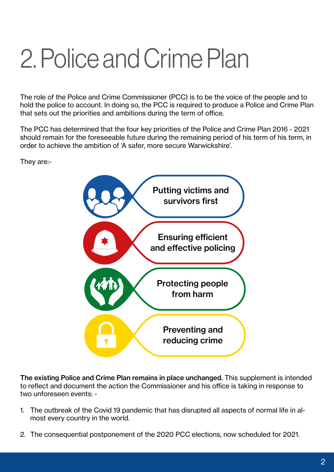# 2. Police and Crime Plan

The role of the Police and Crime Commissioner (PCC) is to be the voice of the people and to hold the police to account. In doing so, the PCC is required to produce a Police and Crime Plan that sets out the priorities and ambitions during the term of office.

The PCC has determined that the four key priorities of the Police and Crime Plan 2016 - 2021 should remain for the foreseeable future during the remaining period of his term of his term, in order to achieve the ambition of 'A safer, more secure Warwickshire'.

They are:-



The existing Police and Crime Plan remains in place unchanged. This supplement is intended to reflect and document the action the Commissioner and his office is taking in response to two unforeseen events: -

- 1. The outbreak of the Covid 19 pandemic that has disrupted all aspects of normal life in almost every country in the world.
- 2. The consequential postponement of the 2020 PCC elections, now scheduled for 2021.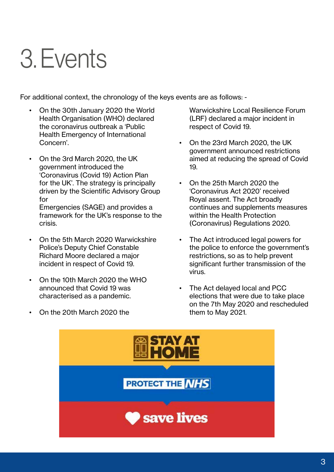### 3. Events

For additional context, the chronology of the keys events are as follows: -

- On the 30th January 2020 the World Health Organisation (WHO) declared the coronavirus outbreak a 'Public Health Emergency of International Concern'.
- On the 3rd March 2020, the UK government introduced the 'Coronavirus (Covid 19) Action Plan for the UK'. The strategy is principally driven by the Scientific Advisory Group for Emergencies (SAGE) and provides a framework for the UK's response to the crisis.
- On the 5th March 2020 Warwickshire Police's Deputy Chief Constable Richard Moore declared a major incident in respect of Covid 19.
- On the 10th March 2020 the WHO announced that Covid 19 was characterised as a pandemic.
- On the 20th March 2020 the

Warwickshire Local Resilience Forum (LRF) declared a major incident in respect of Covid 19.

- On the 23rd March 2020, the UK government announced restrictions aimed at reducing the spread of Covid 19.
- On the 25th March 2020 the 'Coronavirus Act 2020' received Royal assent. The Act broadly continues and supplements measures within the Health Protection (Coronavirus) Regulations 2020.
- The Act introduced legal powers for the police to enforce the government's restrictions, so as to help prevent significant further transmission of the virus.
- The Act delayed local and PCC elections that were due to take place on the 7th May 2020 and rescheduled them to May 2021.

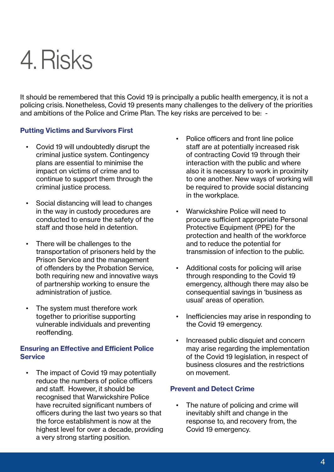### 4. Risks

It should be remembered that this Covid 19 is principally a public health emergency, it is not a policing crisis. Nonetheless, Covid 19 presents many challenges to the delivery of the priorities and ambitions of the Police and Crime Plan. The key risks are perceived to be: -

### **Putting Victims and Survivors First**

- Covid 19 will undoubtedly disrupt the criminal justice system. Contingency plans are essential to minimise the impact on victims of crime and to continue to support them through the criminal justice process.
- Social distancing will lead to changes in the way in custody procedures are conducted to ensure the safety of the staff and those held in detention.
- There will be challenges to the transportation of prisoners held by the Prison Service and the management of offenders by the Probation Service, both requiring new and innovative ways of partnership working to ensure the administration of justice.
- The system must therefore work together to prioritise supporting vulnerable individuals and preventing reoffending.

### **Ensuring an Effective and Efficient Police Service**

The impact of Covid 19 may potentially reduce the numbers of police officers and staff. However, it should be recognised that Warwickshire Police have recruited significant numbers of officers during the last two years so that the force establishment is now at the highest level for over a decade, providing a very strong starting position.

- Police officers and front line police staff are at potentially increased risk of contracting Covid 19 through their interaction with the public and where also it is necessary to work in proximity to one another. New ways of working will be required to provide social distancing in the workplace.
- Warwickshire Police will need to procure sufficient appropriate Personal Protective Equipment (PPE) for the protection and health of the workforce and to reduce the potential for transmission of infection to the public.
- Additional costs for policing will arise through responding to the Covid 19 emergency, although there may also be consequential savings in 'business as usual' areas of operation.
- Inefficiencies may arise in responding to the Covid 19 emergency.
- Increased public disquiet and concern may arise regarding the implementation of the Covid 19 legislation, in respect of business closures and the restrictions on movement.

#### **Prevent and Detect Crime**

The nature of policing and crime will inevitably shift and change in the response to, and recovery from, the Covid 19 emergency.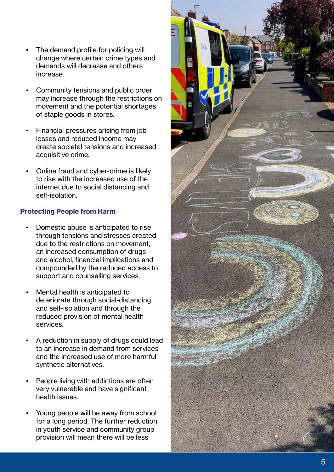- The demand profile for policing will change where certain crime types and demands will decrease and others increase.
- Community tensions and public order may increase through the restrictions on movement and the potential shortages of staple goods in stores.
- Financial pressures arising from job losses and reduced income may create societal tensions and increased acquisitive crime.
- Online fraud and cyber-crime is likely to rise with the increased use of the internet due to social distancing and self-isolation.

### **Protecting People from Harm**

- Domestic abuse is anticipated to rise through tensions and stresses created due to the restrictions on movement, an increased consumption of drugs and alcohol, financial implications and compounded by the reduced access to support and counselling services.
- Mental health is anticipated to deteriorate through social-distancing and self-isolation and through the reduced provision of mental health services.
- A reduction in supply of drugs could lead to an increase in demand from services and the increased use of more harmful synthetic alternatives.
- People living with addictions are often very vulnerable and have significant health issues.
- Young people will be away from school for a long period. The further reduction in youth service and community group provision will mean there will be less

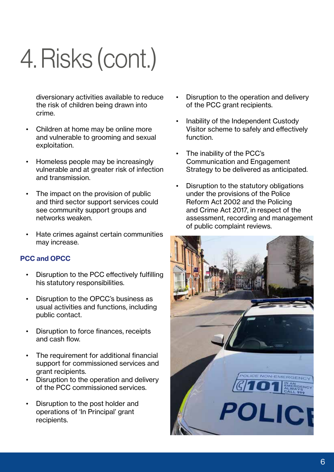# 4. Risks (cont.)

diversionary activities available to reduce the risk of children being drawn into crime.

- Children at home may be online more and vulnerable to grooming and sexual exploitation.
- Homeless people may be increasingly vulnerable and at greater risk of infection and transmission.
- The impact on the provision of public and third sector support services could see community support groups and networks weaken.
- Hate crimes against certain communities may increase.

### **PCC and OPCC**

- Disruption to the PCC effectively fulfilling his statutory responsibilities.
- Disruption to the OPCC's business as usual activities and functions, including public contact.
- Disruption to force finances, receipts and cash flow.
- The requirement for additional financial support for commissioned services and grant recipients.
- Disruption to the operation and delivery of the PCC commissioned services.
- Disruption to the post holder and operations of 'In Principal' grant recipients.
- Disruption to the operation and delivery of the PCC grant recipients.
- Inability of the Independent Custody Visitor scheme to safely and effectively function.
- The inability of the PCC's Communication and Engagement Strategy to be delivered as anticipated.
- Disruption to the statutory obligations under the provisions of the Police Reform Act 2002 and the Policing and Crime Act 2017, in respect of the assessment, recording and management of public complaint reviews.

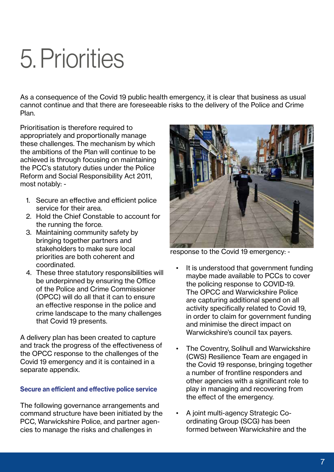### 5. Priorities

As a consequence of the Covid 19 public health emergency, it is clear that business as usual cannot continue and that there are foreseeable risks to the delivery of the Police and Crime Plan.

Prioritisation is therefore required to appropriately and proportionally manage these challenges. The mechanism by which the ambitions of the Plan will continue to be achieved is through focusing on maintaining the PCC's statutory duties under the Police Reform and Social Responsibility Act 2011, most notably: -

- 1. Secure an effective and efficient police service for their area.
- 2. Hold the Chief Constable to account for the running the force.
- 3. Maintaining community safety by bringing together partners and stakeholders to make sure local priorities are both coherent and coordinated.
- 4. These three statutory responsibilities will be underpinned by ensuring the Office of the Police and Crime Commissioner (OPCC) will do all that it can to ensure an effective response in the police and crime landscape to the many challenges that Covid 19 presents.

A delivery plan has been created to capture and track the progress of the effectiveness of the OPCC response to the challenges of the Covid 19 emergency and it is contained in a separate appendix.

### **Secure an efficient and effective police service**

The following governance arrangements and command structure have been initiated by the PCC, Warwickshire Police, and partner agencies to manage the risks and challenges in



response to the Covid 19 emergency: -

- It is understood that government funding maybe made available to PCCs to cover the policing response to COVID-19. The OPCC and Warwickshire Police are capturing additional spend on all activity specifically related to Covid 19, in order to claim for government funding and minimise the direct impact on Warwickshire's council tax payers.
- The Coventry, Solihull and Warwickshire (CWS) Resilience Team are engaged in the Covid 19 response, bringing together a number of frontline responders and other agencies with a significant role to play in managing and recovering from the effect of the emergency.
- A joint multi-agency Strategic Coordinating Group (SCG) has been formed between Warwickshire and the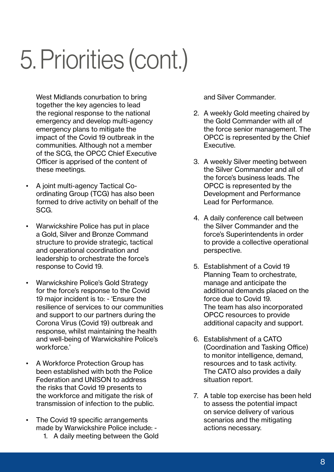## 5. Priorities (cont.)

West Midlands conurbation to bring together the key agencies to lead the regional response to the national emergency and develop multi-agency emergency plans to mitigate the impact of the Covid 19 outbreak in the communities. Although not a member of the SCG, the OPCC Chief Executive Officer is apprised of the content of these meetings.

- A joint multi-agency Tactical Coordinating Group (TCG) has also been formed to drive activity on behalf of the SCG.
- Warwickshire Police has put in place a Gold, Silver and Bronze Command structure to provide strategic, tactical and operational coordination and leadership to orchestrate the force's response to Covid 19.
- Warwickshire Police's Gold Strategy for the force's response to the Covid 19 major incident is to: - 'Ensure the resilience of services to our communities and support to our partners during the Corona Virus (Covid 19) outbreak and response, whilst maintaining the health and well-being of Warwickshire Police's workforce.'
- A Workforce Protection Group has been established with both the Police Federation and UNISON to address the risks that Covid 19 presents to the workforce and mitigate the risk of transmission of infection to the public.
- The Covid 19 specific arrangements made by Warwickshire Police include: -
	- 1. A daily meeting between the Gold

and Silver Commander.

- 2. A weekly Gold meeting chaired by the Gold Commander with all of the force senior management. The OPCC is represented by the Chief Executive.
- 3. A weekly Silver meeting between the Silver Commander and all of the force's business leads. The OPCC is represented by the Development and Performance Lead for Performance.
- 4. A daily conference call between the Silver Commander and the force's Superintendents in order to provide a collective operational perspective.
- 5. Establishment of a Covid 19 Planning Team to orchestrate, manage and anticipate the additional demands placed on the force due to Covid 19. The team has also incorporated OPCC resources to provide additional capacity and support.
- 6. Establishment of a CATO (Coordination and Tasking Office) to monitor intelligence, demand, resources and to task activity. The CATO also provides a daily situation report.
- 7. A table top exercise has been held to assess the potential impact on service delivery of various scenarios and the mitigating actions necessary.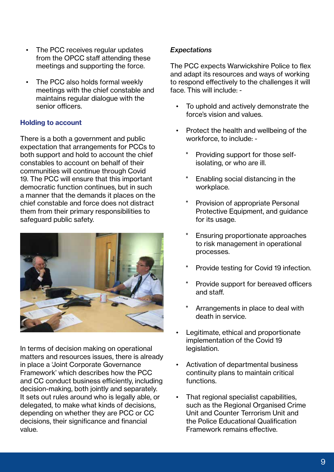- The PCC receives regular updates from the OPCC staff attending these meetings and supporting the force.
- The PCC also holds formal weekly meetings with the chief constable and maintains regular dialogue with the senior officers.

### **Holding to account**

There is a both a government and public expectation that arrangements for PCCs to both support and hold to account the chief constables to account on behalf of their communities will continue through Covid 19. The PCC will ensure that this important democratic function continues, but in such a manner that the demands it places on the chief constable and force does not distract them from their primary responsibilities to safeguard public safety.



In terms of decision making on operational matters and resources issues, there is already in place a 'Joint Corporate Governance Framework' which describes how the PCC and CC conduct business efficiently, including decision-making, both jointly and separately. It sets out rules around who is legally able, or delegated, to make what kinds of decisions, depending on whether they are PCC or CC decisions, their significance and financial value.

### *Expectations*

The PCC expects Warwickshire Police to flex and adapt its resources and ways of working to respond effectively to the challenges it will face. This will include: -

- To uphold and actively demonstrate the force's vision and values.
- Protect the health and wellbeing of the workforce, to include: -
	- Providing support for those selfisolating, or who are ill.
	- Enabling social distancing in the workplace.
	- Provision of appropriate Personal Protective Equipment, and guidance for its usage.
	- Ensuring proportionate approaches to risk management in operational processes.
	- Provide testing for Covid 19 infection.
	- Provide support for bereaved officers and staff.
	- Arrangements in place to deal with death in service.
- Legitimate, ethical and proportionate implementation of the Covid 19 legislation.
- Activation of departmental business continuity plans to maintain critical functions.
- That regional specialist capabilities, such as the Regional Organised Crime Unit and Counter Terrorism Unit and the Police Educational Qualification Framework remains effective.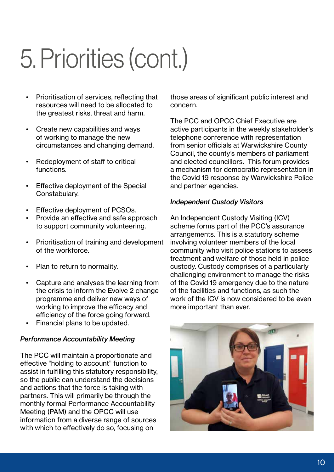# 5. Priorities (cont.)

- Prioritisation of services, reflecting that resources will need to be allocated to the greatest risks, threat and harm.
- Create new capabilities and ways of working to manage the new circumstances and changing demand.
- Redeployment of staff to critical functions.
- Effective deployment of the Special Constabulary.
- Effective deployment of PCSOs.
- Provide an effective and safe approach to support community volunteering.
- Prioritisation of training and development of the workforce.
- Plan to return to normality.
- Capture and analyses the learning from the crisis to inform the Evolve 2 change programme and deliver new ways of working to improve the efficacy and efficiency of the force going forward.
- Financial plans to be updated.

### *Performance Accountability Meeting*

The PCC will maintain a proportionate and effective "holding to account" function to assist in fulfilling this statutory responsibility, so the public can understand the decisions and actions that the force is taking with partners. This will primarily be through the monthly formal Performance Accountability Meeting (PAM) and the OPCC will use information from a diverse range of sources with which to effectively do so, focusing on

those areas of significant public interest and concern.

The PCC and OPCC Chief Executive are active participants in the weekly stakeholder's telephone conference with representation from senior officials at Warwickshire County Council, the county's members of parliament and elected councillors. This forum provides a mechanism for democratic representation in the Covid 19 response by Warwickshire Police and partner agencies.

### *Independent Custody Visitors*

An Independent Custody Visiting (ICV) scheme forms part of the PCC's assurance arrangements. This is a statutory scheme involving volunteer members of the local community who visit police stations to assess treatment and welfare of those held in police custody. Custody comprises of a particularly challenging environment to manage the risks of the Covid 19 emergency due to the nature of the facilities and functions, as such the work of the ICV is now considered to be even more important than ever.

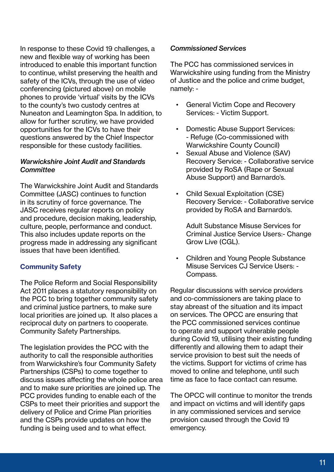In response to these Covid 19 challenges, a new and flexible way of working has been introduced to enable this important function to continue, whilst preserving the health and safety of the ICVs, through the use of video conferencing (pictured above) on mobile phones to provide 'virtual' visits by the ICVs to the county's two custody centres at Nuneaton and Leamington Spa. In addition, to allow for further scrutiny, we have provided opportunities for the ICVs to have their questions answered by the Chief Inspector responsible for these custody facilities.

### *Warwickshire Joint Audit and Standards Committee*

The Warwickshire Joint Audit and Standards Committee (JASC) continues to function in its scrutiny of force governance. The JASC receives regular reports on policy and procedure, decision making, leadership, culture, people, performance and conduct. This also includes update reports on the progress made in addressing any significant issues that have been identified.

### **Community Safety**

The Police Reform and Social Responsibility Act 2011 places a statutory responsibility on the PCC to bring together community safety and criminal justice partners, to make sure local priorities are joined up. It also places a reciprocal duty on partners to cooperate. Community Safety Partnerships.

The legislation provides the PCC with the authority to call the responsible authorities from Warwickshire's four Community Safety Partnerships (CSPs) to come together to discuss issues affecting the whole police area and to make sure priorities are joined up. The PCC provides funding to enable each of the CSPs to meet their priorities and support the delivery of Police and Crime Plan priorities and the CSPs provide updates on how the funding is being used and to what effect.

#### *Commissioned Services*

The PCC has commissioned services in Warwickshire using funding from the Ministry of Justice and the police and crime budget, namely: -

- General Victim Cope and Recovery Services: - Victim Support.
- Domestic Abuse Support Services: - Refuge (Co-commissioned with Warwickshire County Council)
- Sexual Abuse and Violence (SAV) Recovery Service: - Collaborative service provided by RoSA (Rape or Sexual Abuse Support) and Barnardo's.
- Child Sexual Exploitation (CSE) Recovery Service: - Collaborative service provided by RoSA and Barnardo's.

Adult Substance Misuse Services for Criminal Justice Service Users:- Change Grow Live (CGL).

• Children and Young People Substance Misuse Services CJ Service Users: - Compass.

Regular discussions with service providers and co-commissioners are taking place to stay abreast of the situation and its impact on services. The OPCC are ensuring that the PCC commissioned services continue to operate and support vulnerable people during Covid 19, utilising their existing funding differently and allowing them to adapt their service provision to best suit the needs of the victims. Support for victims of crime has moved to online and telephone, until such time as face to face contact can resume.

The OPCC will continue to monitor the trends and impact on victims and will identify gaps in any commissioned services and service provision caused through the Covid 19 emergency.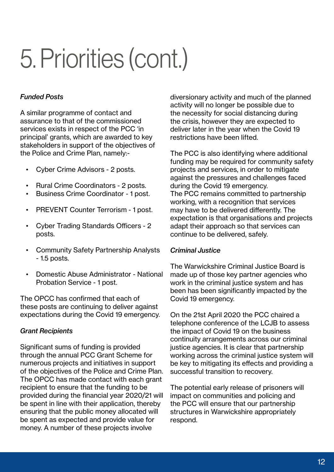# 5. Priorities (cont.)

### *Funded Posts*

A similar programme of contact and assurance to that of the commissioned services exists in respect of the PCC 'in principal' grants, which are awarded to key stakeholders in support of the objectives of the Police and Crime Plan, namely:-

- Cyber Crime Advisors 2 posts.
- Rural Crime Coordinators 2 posts.
- Business Crime Coordinator 1 post.
- PREVENT Counter Terrorism 1 post.
- Cyber Trading Standards Officers 2 posts.
- Community Safety Partnership Analysts - 1.5 posts.
- Domestic Abuse Administrator National Probation Service - 1 post.

The OPCC has confirmed that each of these posts are continuing to deliver against expectations during the Covid 19 emergency.

### *Grant Recipients*

Significant sums of funding is provided through the annual PCC Grant Scheme for numerous projects and initiatives in support of the objectives of the Police and Crime Plan. The OPCC has made contact with each grant recipient to ensure that the funding to be provided during the financial year 2020/21 will be spent in line with their application, thereby ensuring that the public money allocated will be spent as expected and provide value for money. A number of these projects involve

diversionary activity and much of the planned activity will no longer be possible due to the necessity for social distancing during the crisis, however they are expected to deliver later in the year when the Covid 19 restrictions have been lifted.

The PCC is also identifying where additional funding may be required for community safety projects and services, in order to mitigate against the pressures and challenges faced during the Covid 19 emergency. The PCC remains committed to partnership working, with a recognition that services may have to be delivered differently. The expectation is that organisations and projects adapt their approach so that services can continue to be delivered, safely.

### *Criminal Justice*

The Warwickshire Criminal Justice Board is made up of those key partner agencies who work in the criminal justice system and has been has been significantly impacted by the Covid 19 emergency.

On the 21st April 2020 the PCC chaired a telephone conference of the LCJB to assess the impact of Covid 19 on the business continuity arrangements across our criminal justice agencies. It is clear that partnership working across the criminal justice system will be key to mitigating its effects and providing a successful transition to recovery.

The potential early release of prisoners will impact on communities and policing and the PCC will ensure that our partnership structures in Warwickshire appropriately respond.